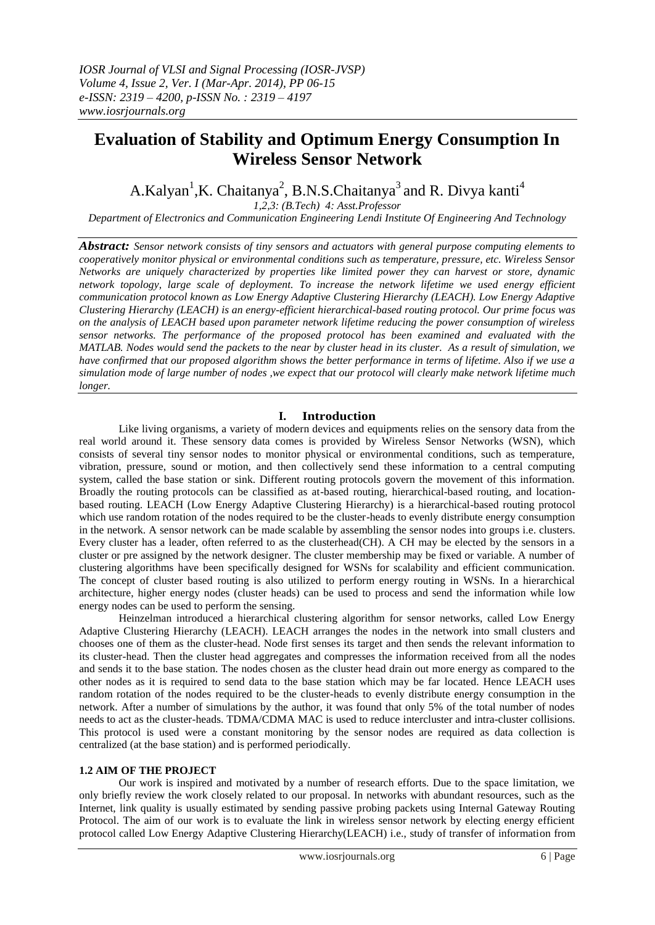# **Evaluation of Stability and Optimum Energy Consumption In Wireless Sensor Network**

A.Kalyan<sup>1</sup>,K. Chaitanya<sup>2</sup>, B.N.S.Chaitanya<sup>3</sup> and R. Divya kanti<sup>4</sup>

*1,2,3: (B.Tech) 4: Asst.Professor* 

*Department of Electronics and Communication Engineering Lendi Institute Of Engineering And Technology*

*Abstract: Sensor network consists of tiny sensors and actuators with general purpose computing elements to cooperatively monitor physical or environmental conditions such as temperature, pressure, etc. Wireless Sensor Networks are uniquely characterized by properties like limited power they can harvest or store, dynamic network topology, large scale of deployment. To increase the network lifetime we used energy efficient communication protocol known as Low Energy Adaptive Clustering Hierarchy (LEACH). Low Energy Adaptive Clustering Hierarchy (LEACH) is an energy-efficient hierarchical-based routing protocol. Our prime focus was on the analysis of LEACH based upon parameter network lifetime reducing the power consumption of wireless sensor networks. The performance of the proposed protocol has been examined and evaluated with the MATLAB. Nodes would send the packets to the near by cluster head in its cluster. As a result of simulation, we have confirmed that our proposed algorithm shows the better performance in terms of lifetime. Also if we use a simulation mode of large number of nodes ,we expect that our protocol will clearly make network lifetime much longer.*

# **I. Introduction**

Like living organisms, a variety of modern devices and equipments relies on the sensory data from the real world around it. These sensory data comes is provided by Wireless Sensor Networks (WSN), which consists of several tiny sensor nodes to monitor physical or environmental conditions, such as temperature, vibration, pressure, sound or motion, and then collectively send these information to a central computing system, called the base station or sink. Different routing protocols govern the movement of this information. Broadly the routing protocols can be classified as at-based routing, hierarchical-based routing, and locationbased routing. LEACH (Low Energy Adaptive Clustering Hierarchy) is a hierarchical-based routing protocol which use random rotation of the nodes required to be the cluster-heads to evenly distribute energy consumption in the network. A sensor network can be made scalable by assembling the sensor nodes into groups i.e. clusters. Every cluster has a leader, often referred to as the clusterhead(CH). A CH may be elected by the sensors in a cluster or pre assigned by the network designer. The cluster membership may be fixed or variable. A number of clustering algorithms have been specifically designed for WSNs for scalability and efficient communication. The concept of cluster based routing is also utilized to perform energy routing in WSNs. In a hierarchical architecture, higher energy nodes (cluster heads) can be used to process and send the information while low energy nodes can be used to perform the sensing.

Heinzelman introduced a hierarchical clustering algorithm for sensor networks, called Low Energy Adaptive Clustering Hierarchy (LEACH). LEACH arranges the nodes in the network into small clusters and chooses one of them as the cluster-head. Node first senses its target and then sends the relevant information to its cluster-head. Then the cluster head aggregates and compresses the information received from all the nodes and sends it to the base station. The nodes chosen as the cluster head drain out more energy as compared to the other nodes as it is required to send data to the base station which may be far located. Hence LEACH uses random rotation of the nodes required to be the cluster-heads to evenly distribute energy consumption in the network. After a number of simulations by the author, it was found that only 5% of the total number of nodes needs to act as the cluster-heads. TDMA/CDMA MAC is used to reduce intercluster and intra-cluster collisions. This protocol is used were a constant monitoring by the sensor nodes are required as data collection is centralized (at the base station) and is performed periodically.

## **1.2 AIM OF THE PROJECT**

Our work is inspired and motivated by a number of research efforts. Due to the space limitation, we only briefly review the work closely related to our proposal. In networks with abundant resources, such as the Internet, link quality is usually estimated by sending passive probing packets using Internal Gateway Routing Protocol. The aim of our work is to evaluate the link in wireless sensor network by electing energy efficient protocol called Low Energy Adaptive Clustering Hierarchy(LEACH) i.e., study of transfer of information from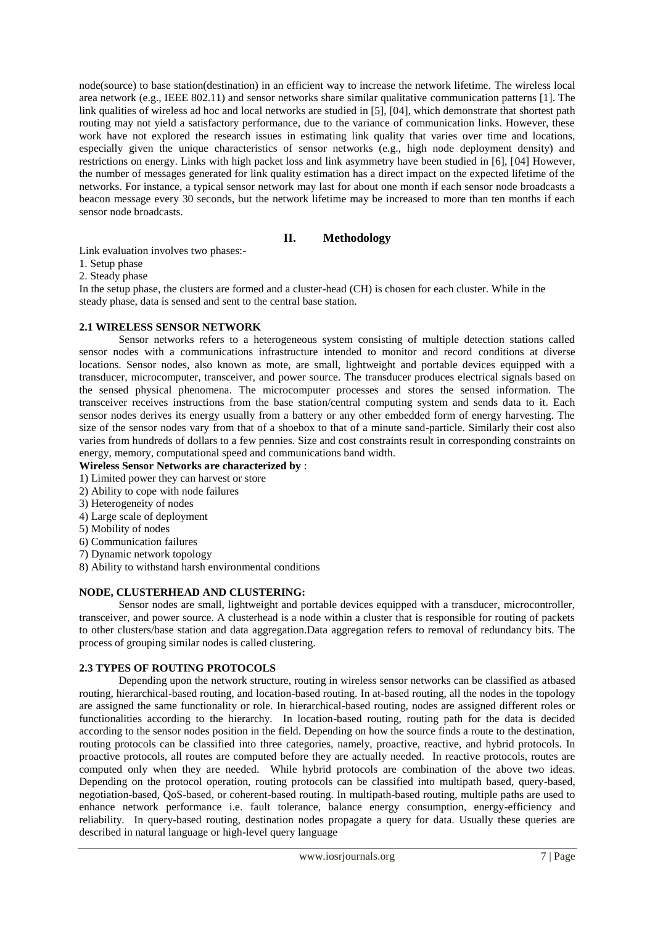node(source) to base station(destination) in an efficient way to increase the network lifetime. The wireless local area network (e.g., IEEE 802.11) and sensor networks share similar qualitative communication patterns [1]. The link qualities of wireless ad hoc and local networks are studied in [5], [04], which demonstrate that shortest path routing may not yield a satisfactory performance, due to the variance of communication links. However, these work have not explored the research issues in estimating link quality that varies over time and locations, especially given the unique characteristics of sensor networks (e.g., high node deployment density) and restrictions on energy. Links with high packet loss and link asymmetry have been studied in [6], [04] However, the number of messages generated for link quality estimation has a direct impact on the expected lifetime of the networks. For instance, a typical sensor network may last for about one month if each sensor node broadcasts a beacon message every 30 seconds, but the network lifetime may be increased to more than ten months if each sensor node broadcasts.

## **II. Methodology**

Link evaluation involves two phases:-

1. Setup phase

2. Steady phase

In the setup phase, the clusters are formed and a cluster-head (CH) is chosen for each cluster. While in the steady phase, data is sensed and sent to the central base station.

## **2.1 WIRELESS SENSOR NETWORK**

Sensor networks refers to a heterogeneous system consisting of multiple detection stations called sensor nodes with a communications infrastructure intended to monitor and record conditions at diverse locations. Sensor nodes, also known as mote, are small, lightweight and portable devices equipped with a transducer, microcomputer, transceiver, and power source. The transducer produces electrical signals based on the sensed physical phenomena. The microcomputer processes and stores the sensed information. The transceiver receives instructions from the base station/central computing system and sends data to it. Each sensor nodes derives its energy usually from a battery or any other embedded form of energy harvesting. The size of the sensor nodes vary from that of a shoebox to that of a minute sand-particle. Similarly their cost also varies from hundreds of dollars to a few pennies. Size and cost constraints result in corresponding constraints on energy, memory, computational speed and communications band width.

**Wireless Sensor Networks are characterized by** :

- 1) Limited power they can harvest or store
- 2) Ability to cope with node failures
- 3) Heterogeneity of nodes
- 4) Large scale of deployment
- 5) Mobility of nodes
- 6) Communication failures
- 7) Dynamic network topology
- 8) Ability to withstand harsh environmental conditions

## **NODE, CLUSTERHEAD AND CLUSTERING:**

Sensor nodes are small, lightweight and portable devices equipped with a transducer, microcontroller, transceiver, and power source. A clusterhead is a node within a cluster that is responsible for routing of packets to other clusters/base station and data aggregation.Data aggregation refers to removal of redundancy bits. The process of grouping similar nodes is called clustering.

### **2.3 TYPES OF ROUTING PROTOCOLS**

Depending upon the network structure, routing in wireless sensor networks can be classified as atbased routing, hierarchical-based routing, and location-based routing. In at-based routing, all the nodes in the topology are assigned the same functionality or role. In hierarchical-based routing, nodes are assigned different roles or functionalities according to the hierarchy. In location-based routing, routing path for the data is decided according to the sensor nodes position in the field. Depending on how the source finds a route to the destination, routing protocols can be classified into three categories, namely, proactive, reactive, and hybrid protocols. In proactive protocols, all routes are computed before they are actually needed. In reactive protocols, routes are computed only when they are needed. While hybrid protocols are combination of the above two ideas. Depending on the protocol operation, routing protocols can be classified into multipath based, query-based, negotiation-based, QoS-based, or coherent-based routing. In multipath-based routing, multiple paths are used to enhance network performance i.e. fault tolerance, balance energy consumption, energy-efficiency and reliability. In query-based routing, destination nodes propagate a query for data. Usually these queries are described in natural language or high-level query language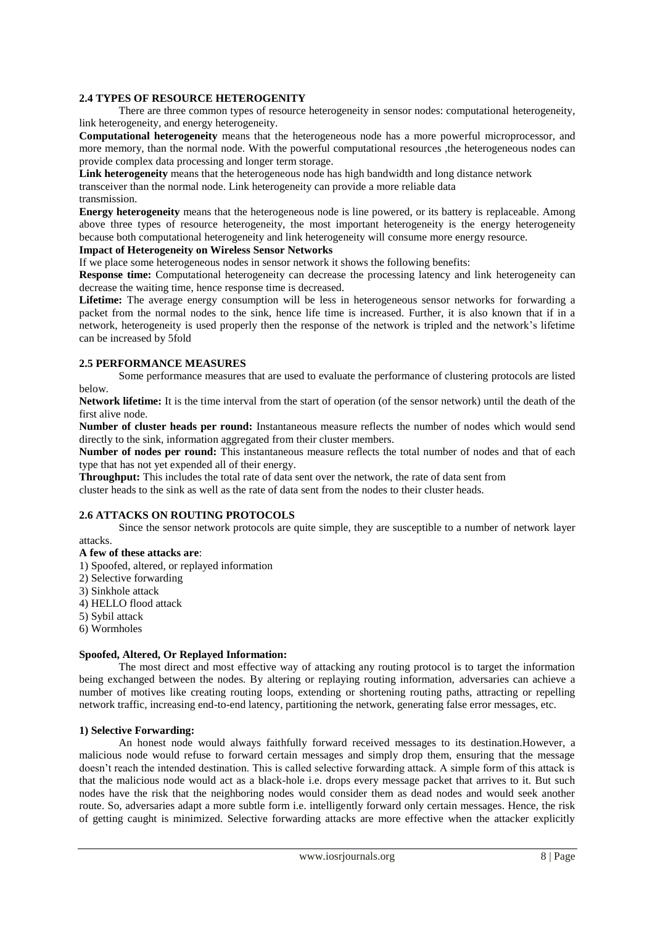## **2.4 TYPES OF RESOURCE HETEROGENITY**

There are three common types of resource heterogeneity in sensor nodes: computational heterogeneity, link heterogeneity, and energy heterogeneity.

**Computational heterogeneity** means that the heterogeneous node has a more powerful microprocessor, and more memory, than the normal node. With the powerful computational resources ,the heterogeneous nodes can provide complex data processing and longer term storage.

**Link heterogeneity** means that the heterogeneous node has high bandwidth and long distance network

transceiver than the normal node. Link heterogeneity can provide a more reliable data

# transmission.

**Energy heterogeneity** means that the heterogeneous node is line powered, or its battery is replaceable. Among above three types of resource heterogeneity, the most important heterogeneity is the energy heterogeneity because both computational heterogeneity and link heterogeneity will consume more energy resource.

## **Impact of Heterogeneity on Wireless Sensor Networks**

If we place some heterogeneous nodes in sensor network it shows the following benefits:

**Response time:** Computational heterogeneity can decrease the processing latency and link heterogeneity can decrease the waiting time, hence response time is decreased.

Lifetime: The average energy consumption will be less in heterogeneous sensor networks for forwarding a packet from the normal nodes to the sink, hence life time is increased. Further, it is also known that if in a network, heterogeneity is used properly then the response of the network is tripled and the network's lifetime can be increased by 5fold

## **2.5 PERFORMANCE MEASURES**

Some performance measures that are used to evaluate the performance of clustering protocols are listed below.

**Network lifetime:** It is the time interval from the start of operation (of the sensor network) until the death of the first alive node.

**Number of cluster heads per round:** Instantaneous measure reflects the number of nodes which would send directly to the sink, information aggregated from their cluster members.

**Number of nodes per round:** This instantaneous measure reflects the total number of nodes and that of each type that has not yet expended all of their energy.

**Throughput:** This includes the total rate of data sent over the network, the rate of data sent from

cluster heads to the sink as well as the rate of data sent from the nodes to their cluster heads.

## **2.6 ATTACKS ON ROUTING PROTOCOLS**

Since the sensor network protocols are quite simple, they are susceptible to a number of network layer attacks.

### **A few of these attacks are**:

1) Spoofed, altered, or replayed information

- 2) Selective forwarding
- 3) Sinkhole attack
- 4) HELLO flood attack
- 5) Sybil attack
- 6) Wormholes

### **Spoofed, Altered, Or Replayed Information:**

The most direct and most effective way of attacking any routing protocol is to target the information being exchanged between the nodes. By altering or replaying routing information, adversaries can achieve a number of motives like creating routing loops, extending or shortening routing paths, attracting or repelling network traffic, increasing end-to-end latency, partitioning the network, generating false error messages, etc.

### **1) Selective Forwarding:**

An honest node would always faithfully forward received messages to its destination.However, a malicious node would refuse to forward certain messages and simply drop them, ensuring that the message doesn't reach the intended destination. This is called selective forwarding attack. A simple form of this attack is that the malicious node would act as a black-hole i.e. drops every message packet that arrives to it. But such nodes have the risk that the neighboring nodes would consider them as dead nodes and would seek another route. So, adversaries adapt a more subtle form i.e. intelligently forward only certain messages. Hence, the risk of getting caught is minimized. Selective forwarding attacks are more effective when the attacker explicitly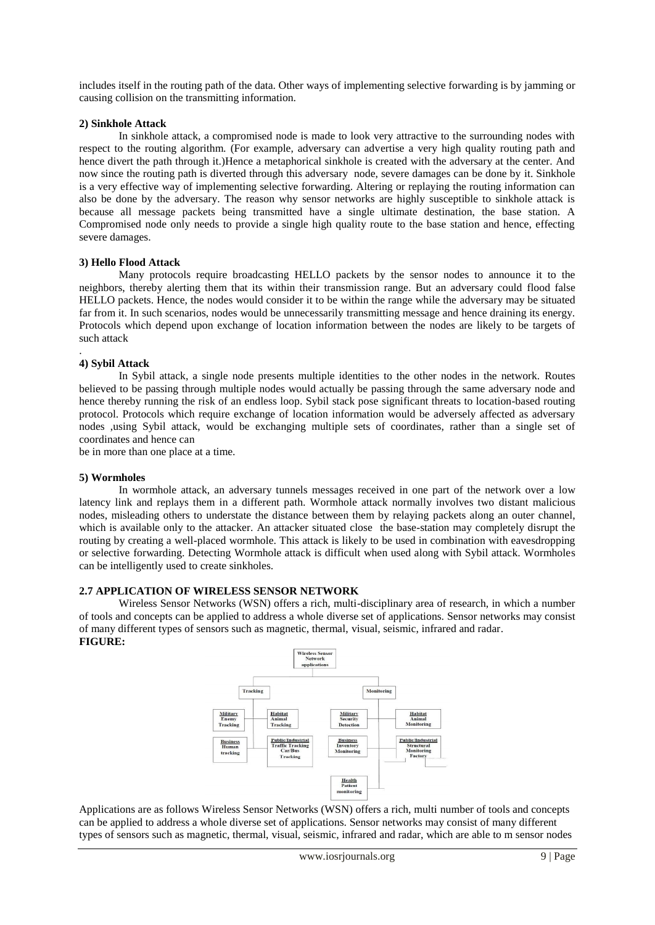includes itself in the routing path of the data. Other ways of implementing selective forwarding is by jamming or causing collision on the transmitting information.

#### **2) Sinkhole Attack**

In sinkhole attack, a compromised node is made to look very attractive to the surrounding nodes with respect to the routing algorithm. (For example, adversary can advertise a very high quality routing path and hence divert the path through it.)Hence a metaphorical sinkhole is created with the adversary at the center. And now since the routing path is diverted through this adversary node, severe damages can be done by it. Sinkhole is a very effective way of implementing selective forwarding. Altering or replaying the routing information can also be done by the adversary. The reason why sensor networks are highly susceptible to sinkhole attack is because all message packets being transmitted have a single ultimate destination, the base station. A Compromised node only needs to provide a single high quality route to the base station and hence, effecting severe damages.

#### **3) Hello Flood Attack**

Many protocols require broadcasting HELLO packets by the sensor nodes to announce it to the neighbors, thereby alerting them that its within their transmission range. But an adversary could flood false HELLO packets. Hence, the nodes would consider it to be within the range while the adversary may be situated far from it. In such scenarios, nodes would be unnecessarily transmitting message and hence draining its energy. Protocols which depend upon exchange of location information between the nodes are likely to be targets of such attack

#### **4) Sybil Attack**

.

In Sybil attack, a single node presents multiple identities to the other nodes in the network. Routes believed to be passing through multiple nodes would actually be passing through the same adversary node and hence thereby running the risk of an endless loop. Sybil stack pose significant threats to location-based routing protocol. Protocols which require exchange of location information would be adversely affected as adversary nodes ,using Sybil attack, would be exchanging multiple sets of coordinates, rather than a single set of coordinates and hence can

be in more than one place at a time.

#### **5) Wormholes**

In wormhole attack, an adversary tunnels messages received in one part of the network over a low latency link and replays them in a different path. Wormhole attack normally involves two distant malicious nodes, misleading others to understate the distance between them by relaying packets along an outer channel, which is available only to the attacker. An attacker situated close the base-station may completely disrupt the routing by creating a well-placed wormhole. This attack is likely to be used in combination with eavesdropping or selective forwarding. Detecting Wormhole attack is difficult when used along with Sybil attack. Wormholes can be intelligently used to create sinkholes.

### **2.7 APPLICATION OF WIRELESS SENSOR NETWORK**

Wireless Sensor Networks (WSN) offers a rich, multi-disciplinary area of research, in which a number of tools and concepts can be applied to address a whole diverse set of applications. Sensor networks may consist of many different types of sensors such as magnetic, thermal, visual, seismic, infrared and radar. **FIGURE:**



Applications are as follows Wireless Sensor Networks (WSN) offers a rich, multi number of tools and concepts can be applied to address a whole diverse set of applications. Sensor networks may consist of many different types of sensors such as magnetic, thermal, visual, seismic, infrared and radar, which are able to m sensor nodes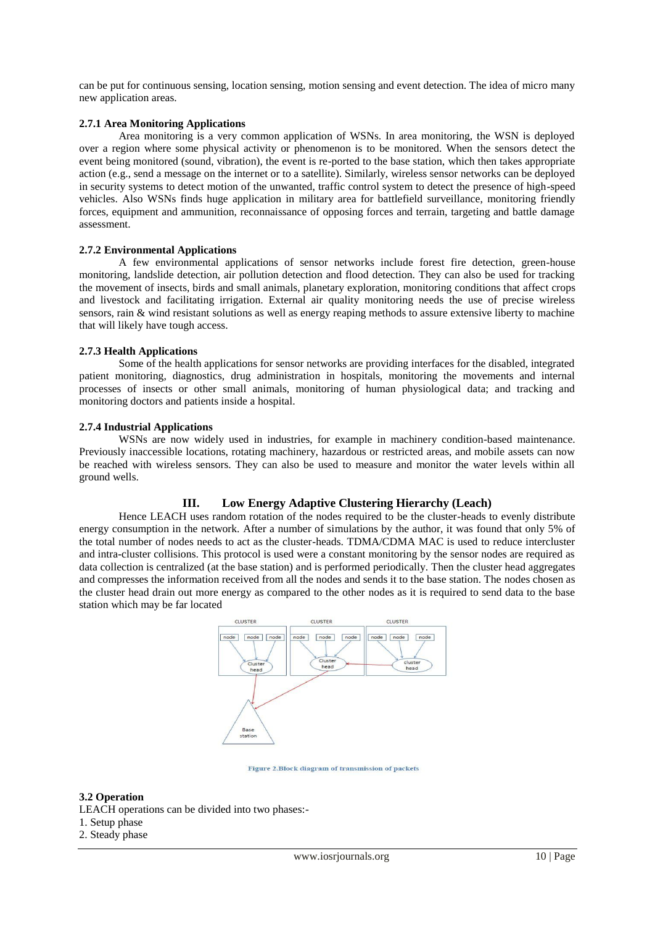can be put for continuous sensing, location sensing, motion sensing and event detection. The idea of micro many new application areas.

#### **2.7.1 Area Monitoring Applications**

Area monitoring is a very common application of WSNs. In area monitoring, the WSN is deployed over a region where some physical activity or phenomenon is to be monitored. When the sensors detect the event being monitored (sound, vibration), the event is re-ported to the base station, which then takes appropriate action (e.g., send a message on the internet or to a satellite). Similarly, wireless sensor networks can be deployed in security systems to detect motion of the unwanted, traffic control system to detect the presence of high-speed vehicles. Also WSNs finds huge application in military area for battlefield surveillance, monitoring friendly forces, equipment and ammunition, reconnaissance of opposing forces and terrain, targeting and battle damage assessment.

#### **2.7.2 Environmental Applications**

A few environmental applications of sensor networks include forest fire detection, green-house monitoring, landslide detection, air pollution detection and flood detection. They can also be used for tracking the movement of insects, birds and small animals, planetary exploration, monitoring conditions that affect crops and livestock and facilitating irrigation. External air quality monitoring needs the use of precise wireless sensors, rain & wind resistant solutions as well as energy reaping methods to assure extensive liberty to machine that will likely have tough access.

#### **2.7.3 Health Applications**

Some of the health applications for sensor networks are providing interfaces for the disabled, integrated patient monitoring, diagnostics, drug administration in hospitals, monitoring the movements and internal processes of insects or other small animals, monitoring of human physiological data; and tracking and monitoring doctors and patients inside a hospital.

#### **2.7.4 Industrial Applications**

WSNs are now widely used in industries, for example in machinery condition-based maintenance. Previously inaccessible locations, rotating machinery, hazardous or restricted areas, and mobile assets can now be reached with wireless sensors. They can also be used to measure and monitor the water levels within all ground wells.

### **III. Low Energy Adaptive Clustering Hierarchy (Leach)**

Hence LEACH uses random rotation of the nodes required to be the cluster-heads to evenly distribute energy consumption in the network. After a number of simulations by the author, it was found that only 5% of the total number of nodes needs to act as the cluster-heads. TDMA/CDMA MAC is used to reduce intercluster and intra-cluster collisions. This protocol is used were a constant monitoring by the sensor nodes are required as data collection is centralized (at the base station) and is performed periodically. Then the cluster head aggregates and compresses the information received from all the nodes and sends it to the base station. The nodes chosen as the cluster head drain out more energy as compared to the other nodes as it is required to send data to the base station which may be far located



Figure 2. Block diagram of transmission of packets

#### **3.2 Operation**

- LEACH operations can be divided into two phases:-
- 1. Setup phase
- 2. Steady phase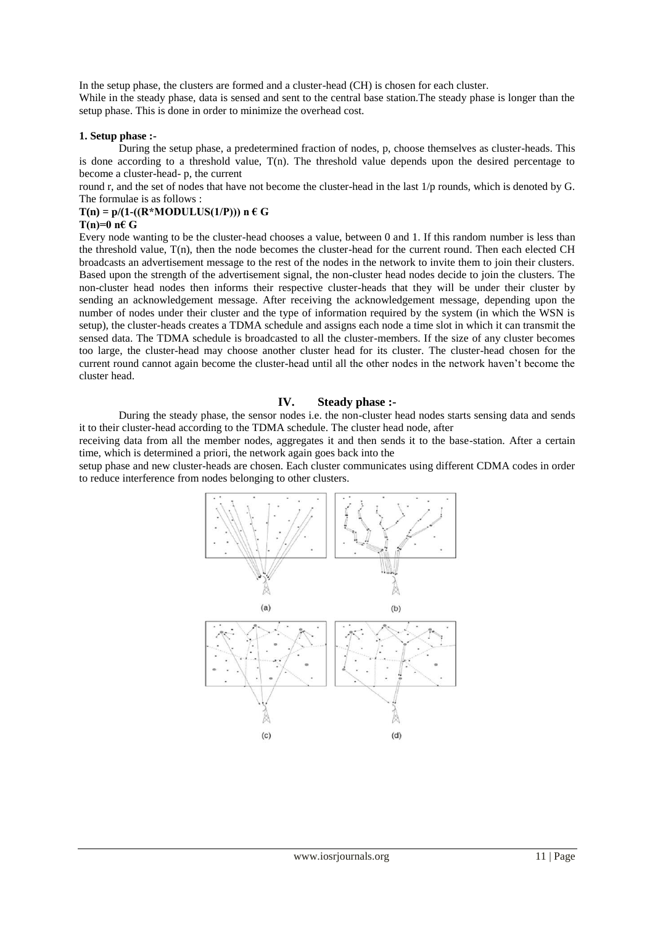In the setup phase, the clusters are formed and a cluster-head (CH) is chosen for each cluster.

While in the steady phase, data is sensed and sent to the central base station. The steady phase is longer than the setup phase. This is done in order to minimize the overhead cost.

#### **1. Setup phase :-**

During the setup phase, a predetermined fraction of nodes, p, choose themselves as cluster-heads. This is done according to a threshold value,  $T(n)$ . The threshold value depends upon the desired percentage to become a cluster-head- p, the current

round r, and the set of nodes that have not become the cluster-head in the last 1/p rounds, which is denoted by G. The formulae is as follows :

### $T(n) = p/(1-(R*MODULUS(1/P)))$  n  $\in G$

#### **T(n)=0 n€ G**

Every node wanting to be the cluster-head chooses a value, between 0 and 1. If this random number is less than the threshold value, T(n), then the node becomes the cluster-head for the current round. Then each elected CH broadcasts an advertisement message to the rest of the nodes in the network to invite them to join their clusters. Based upon the strength of the advertisement signal, the non-cluster head nodes decide to join the clusters. The non-cluster head nodes then informs their respective cluster-heads that they will be under their cluster by sending an acknowledgement message. After receiving the acknowledgement message, depending upon the number of nodes under their cluster and the type of information required by the system (in which the WSN is setup), the cluster-heads creates a TDMA schedule and assigns each node a time slot in which it can transmit the sensed data. The TDMA schedule is broadcasted to all the cluster-members. If the size of any cluster becomes too large, the cluster-head may choose another cluster head for its cluster. The cluster-head chosen for the current round cannot again become the cluster-head until all the other nodes in the network haven't become the cluster head.

### **IV. Steady phase :-**

During the steady phase, the sensor nodes i.e. the non-cluster head nodes starts sensing data and sends it to their cluster-head according to the TDMA schedule. The cluster head node, after

receiving data from all the member nodes, aggregates it and then sends it to the base-station. After a certain time, which is determined a priori, the network again goes back into the

setup phase and new cluster-heads are chosen. Each cluster communicates using different CDMA codes in order to reduce interference from nodes belonging to other clusters.

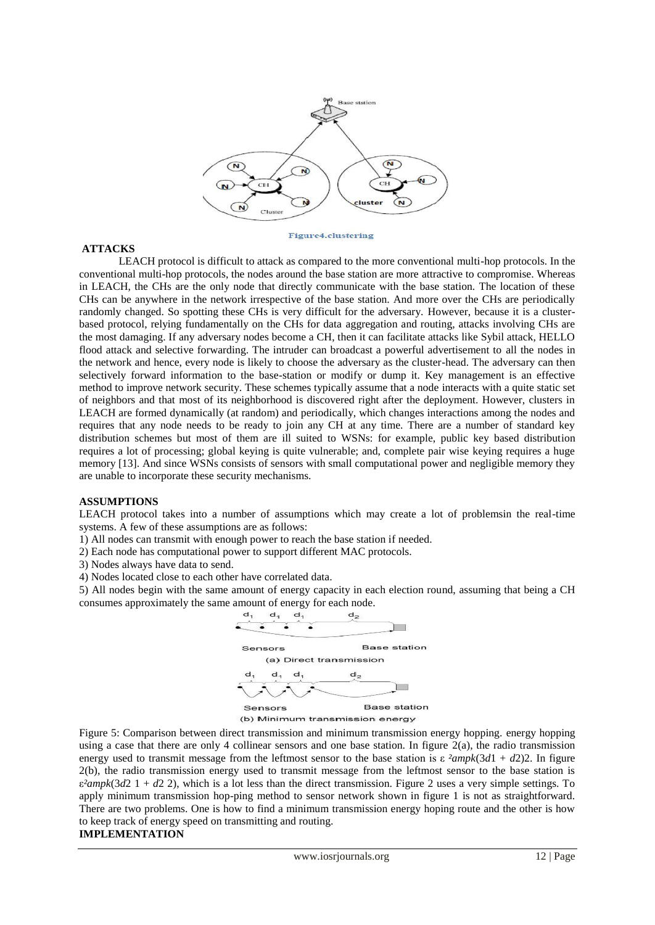

#### **Figure4.clustering**

#### **ATTACKS**

LEACH protocol is difficult to attack as compared to the more conventional multi-hop protocols. In the conventional multi-hop protocols, the nodes around the base station are more attractive to compromise. Whereas in LEACH, the CHs are the only node that directly communicate with the base station. The location of these CHs can be anywhere in the network irrespective of the base station. And more over the CHs are periodically randomly changed. So spotting these CHs is very difficult for the adversary. However, because it is a clusterbased protocol, relying fundamentally on the CHs for data aggregation and routing, attacks involving CHs are the most damaging. If any adversary nodes become a CH, then it can facilitate attacks like Sybil attack, HELLO flood attack and selective forwarding. The intruder can broadcast a powerful advertisement to all the nodes in the network and hence, every node is likely to choose the adversary as the cluster-head. The adversary can then selectively forward information to the base-station or modify or dump it. Key management is an effective method to improve network security. These schemes typically assume that a node interacts with a quite static set of neighbors and that most of its neighborhood is discovered right after the deployment. However, clusters in LEACH are formed dynamically (at random) and periodically, which changes interactions among the nodes and requires that any node needs to be ready to join any CH at any time. There are a number of standard key distribution schemes but most of them are ill suited to WSNs: for example, public key based distribution requires a lot of processing; global keying is quite vulnerable; and, complete pair wise keying requires a huge memory [13]. And since WSNs consists of sensors with small computational power and negligible memory they are unable to incorporate these security mechanisms.

#### **ASSUMPTIONS**

LEACH protocol takes into a number of assumptions which may create a lot of problemsin the real-time systems. A few of these assumptions are as follows:

- 1) All nodes can transmit with enough power to reach the base station if needed.
- 2) Each node has computational power to support different MAC protocols.
- 3) Nodes always have data to send.
- 4) Nodes located close to each other have correlated data.

5) All nodes begin with the same amount of energy capacity in each election round, assuming that being a CH consumes approximately the same amount of energy for each node.



Figure 5: Comparison between direct transmission and minimum transmission energy hopping. energy hopping using a case that there are only 4 collinear sensors and one base station. In figure  $2(a)$ , the radio transmission energy used to transmit message from the leftmost sensor to the base station is  $\varepsilon^2$ *ampk*(3*d*1 + *d*2)2. In figure 2(b), the radio transmission energy used to transmit message from the leftmost sensor to the base station is  $\varepsilon^2$ *ampk*(3*d*2 1 + *d*2 2), which is a lot less than the direct transmission. Figure 2 uses a very simple settings. To apply minimum transmission hop-ping method to sensor network shown in figure 1 is not as straightforward. There are two problems. One is how to find a minimum transmission energy hoping route and the other is how to keep track of energy speed on transmitting and routing.

### **IMPLEMENTATION**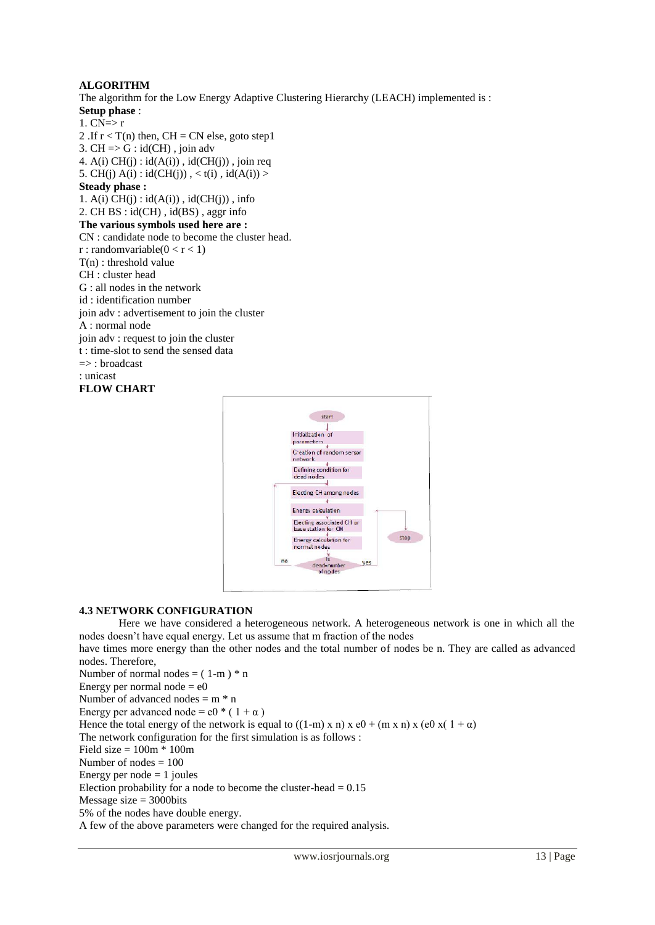## **ALGORITHM**

The algorithm for the Low Energy Adaptive Clustering Hierarchy (LEACH) implemented is : **Setup phase** :

- 1.  $CN \Rightarrow r$
- 2 .If  $r < T(n)$  then, CH = CN else, goto step1
- 3. CH  $\Rightarrow$  G : id(CH), join adv 4.  $A(i) CH(j) : id(A(i))$ ,  $id(CH(j))$ , join req
- 5. CH(j)  $A(i)$ :  $id(CH(j))$ ,  $lt(t(i)$ ,  $id(A(i))$  >

## **Steady phase :**

1.  $A(i)$   $CH(j)$  :  $id(A(i))$ ,  $id(CH(i))$ ,  $info$ 2. CH BS : id(CH) , id(BS) , aggr info **The various symbols used here are :** CN : candidate node to become the cluster head.  $r:$  randomvariable( $0 < r < 1$ ) T(n) : threshold value CH : cluster head G : all nodes in the network id : identification number join adv : advertisement to join the cluster A : normal node join adv : request to join the cluster t : time-slot to send the sensed data => : broadcast : unicast

**FLOW CHART**



## **4.3 NETWORK CONFIGURATION**

Here we have considered a heterogeneous network. A heterogeneous network is one in which all the nodes doesn't have equal energy. Let us assume that m fraction of the nodes

have times more energy than the other nodes and the total number of nodes be n. They are called as advanced nodes. Therefore,

Number of normal nodes =  $(1-m)*n$ Energy per normal node  $= e0$ Number of advanced nodes = m \* n Energy per advanced node =  $e^{i \phi}$  (1+ $\alpha$ ) Hence the total energy of the network is equal to  $((1-m) \times n) \times (0 + (m \times n) \times (0 \times (1 + \alpha))$ The network configuration for the first simulation is as follows : Field size  $= 100m * 100m$ Number of nodes = 100 Energy per node  $= 1$  joules Election probability for a node to become the cluster-head  $= 0.15$ Message size  $=$  3000bits 5% of the nodes have double energy. A few of the above parameters were changed for the required analysis.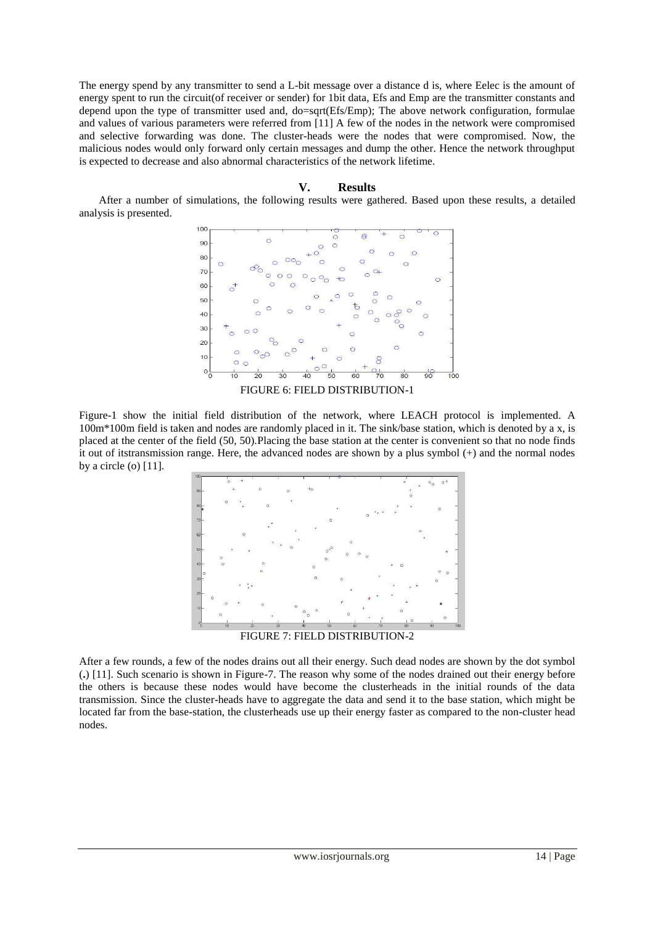The energy spend by any transmitter to send a L-bit message over a distance d is, where Eelec is the amount of energy spent to run the circuit(of receiver or sender) for 1bit data, Efs and Emp are the transmitter constants and depend upon the type of transmitter used and, do=sqrt(Efs/Emp); The above network configuration, formulae and values of various parameters were referred from [11] A few of the nodes in the network were compromised and selective forwarding was done. The cluster-heads were the nodes that were compromised. Now, the malicious nodes would only forward only certain messages and dump the other. Hence the network throughput is expected to decrease and also abnormal characteristics of the network lifetime.

### **V. Results**

After a number of simulations, the following results were gathered. Based upon these results, a detailed analysis is presented.



FIGURE 6: FIELD DISTRIBUTION-1

Figure-1 show the initial field distribution of the network, where LEACH protocol is implemented. A 100m\*100m field is taken and nodes are randomly placed in it. The sink/base station, which is denoted by a x, is placed at the center of the field (50, 50).Placing the base station at the center is convenient so that no node finds it out of itstransmission range. Here, the advanced nodes are shown by a plus symbol (+) and the normal nodes by a circle (o) [11].



After a few rounds, a few of the nodes drains out all their energy. Such dead nodes are shown by the dot symbol (**.**) [11]. Such scenario is shown in Figure-7. The reason why some of the nodes drained out their energy before the others is because these nodes would have become the clusterheads in the initial rounds of the data transmission. Since the cluster-heads have to aggregate the data and send it to the base station, which might be located far from the base-station, the clusterheads use up their energy faster as compared to the non-cluster head nodes.